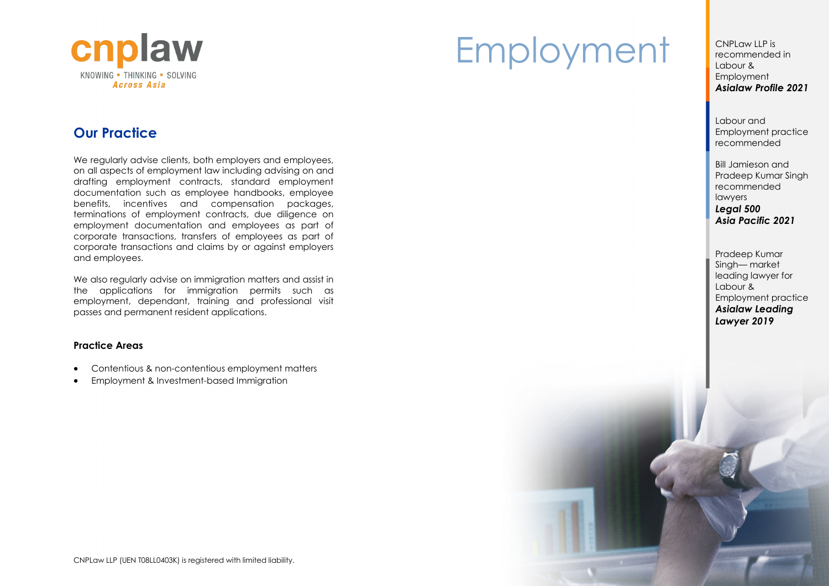

### **Our Practice**

We regularly advise clients, both employers and employees, on all aspects of employment law including advising on and drafting employment contracts, standard employment documentation such as employee handbooks, employee benefits, incentives and compensation packages, terminations of employment contracts, due diligence on employment documentation and employees as part of corporate transactions, transfers of employees as part of corporate transactions and claims by or against employers and employees.

We also regularly advise on immigration matters and assist in the applications for immigration permits such as employment, dependant, training and professional visit passes and permanent resident applications.

### **Practice Areas**

- Contentious & non-contentious employment matters
- Employment & Investment-based Immigration

# Employment CNPLaw LLP is

recommended in Labour & Employment *Asialaw Profile 2021*

Labour and Employment practice recommended

Bill Jamieson and Pradeep Kumar Singh recommended lawyers *Legal 500 Asia Pacific 2021*

Pradeep Kumar Singh— market leading lawyer for Labour & Employment practice *Asialaw Leading Lawyer 2019*

CNPLaw LLP (UEN T08LL0403K) is registered with limited liability.